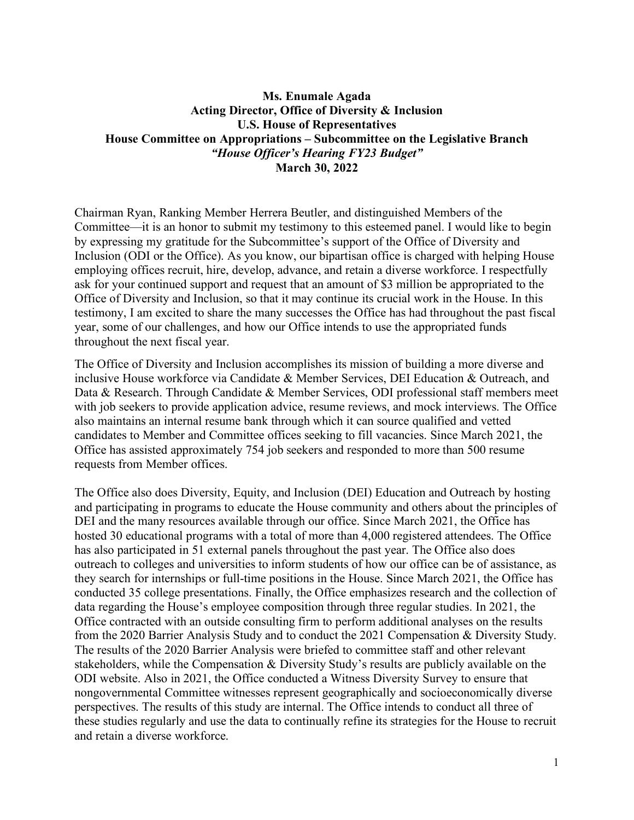## **Ms. Enumale Agada Acting Director, Office of Diversity & Inclusion U.S. House of Representatives House Committee on Appropriations – Subcommittee on the Legislative Branch** *"House Officer's Hearing FY23 Budget"* **March 30, 2022**

Chairman Ryan, Ranking Member Herrera Beutler, and distinguished Members of the Committee—it is an honor to submit my testimony to this esteemed panel. I would like to begin by expressing my gratitude for the Subcommittee's support of the Office of Diversity and Inclusion (ODI or the Office). As you know, our bipartisan office is charged with helping House employing offices recruit, hire, develop, advance, and retain a diverse workforce. I respectfully ask for your continued support and request that an amount of \$3 million be appropriated to the Office of Diversity and Inclusion, so that it may continue its crucial work in the House. In this testimony, I am excited to share the many successes the Office has had throughout the past fiscal year, some of our challenges, and how our Office intends to use the appropriated funds throughout the next fiscal year.

The Office of Diversity and Inclusion accomplishes its mission of building a more diverse and inclusive House workforce via Candidate & Member Services, DEI Education & Outreach, and Data & Research. Through Candidate & Member Services, ODI professional staff members meet with job seekers to provide application advice, resume reviews, and mock interviews. The Office also maintains an internal resume bank through which it can source qualified and vetted candidates to Member and Committee offices seeking to fill vacancies. Since March 2021, the Office has assisted approximately 754 job seekers and responded to more than 500 resume requests from Member offices.

The Office also does Diversity, Equity, and Inclusion (DEI) Education and Outreach by hosting and participating in programs to educate the House community and others about the principles of DEI and the many resources available through our office. Since March 2021, the Office has hosted 30 educational programs with a total of more than 4,000 registered attendees. The Office has also participated in 51 external panels throughout the past year. The Office also does outreach to colleges and universities to inform students of how our office can be of assistance, as they search for internships or full-time positions in the House. Since March 2021, the Office has conducted 35 college presentations. Finally, the Office emphasizes research and the collection of data regarding the House's employee composition through three regular studies. In 2021, the Office contracted with an outside consulting firm to perform additional analyses on the results from the 2020 Barrier Analysis Study and to conduct the 2021 Compensation & Diversity Study. The results of the 2020 Barrier Analysis were briefed to committee staff and other relevant stakeholders, while the Compensation & Diversity Study's results are publicly available on the ODI website. Also in 2021, the Office conducted a Witness Diversity Survey to ensure that nongovernmental Committee witnesses represent geographically and socioeconomically diverse perspectives. The results of this study are internal. The Office intends to conduct all three of these studies regularly and use the data to continually refine its strategies for the House to recruit and retain a diverse workforce.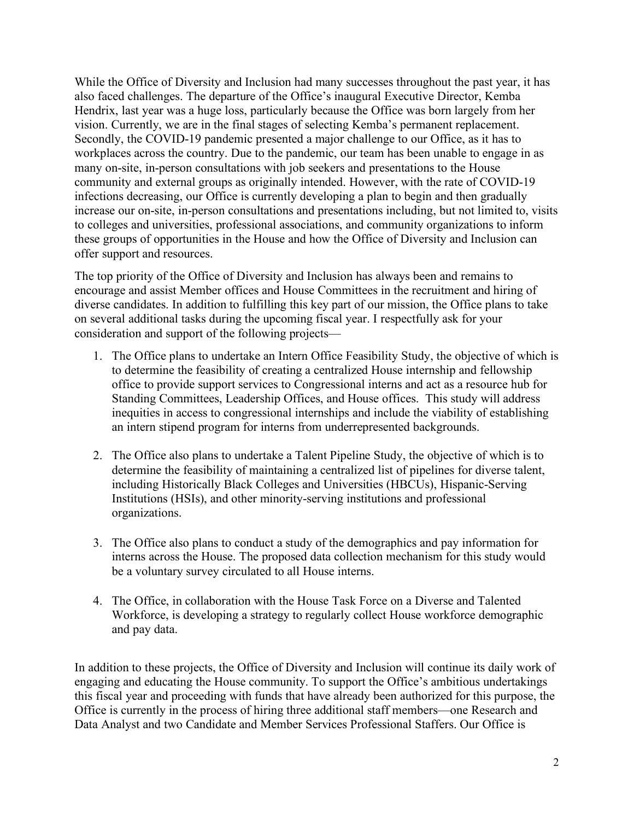While the Office of Diversity and Inclusion had many successes throughout the past year, it has also faced challenges. The departure of the Office's inaugural Executive Director, Kemba Hendrix, last year was a huge loss, particularly because the Office was born largely from her vision. Currently, we are in the final stages of selecting Kemba's permanent replacement. Secondly, the COVID-19 pandemic presented a major challenge to our Office, as it has to workplaces across the country. Due to the pandemic, our team has been unable to engage in as many on-site, in-person consultations with job seekers and presentations to the House community and external groups as originally intended. However, with the rate of COVID-19 infections decreasing, our Office is currently developing a plan to begin and then gradually increase our on-site, in-person consultations and presentations including, but not limited to, visits to colleges and universities, professional associations, and community organizations to inform these groups of opportunities in the House and how the Office of Diversity and Inclusion can offer support and resources.

The top priority of the Office of Diversity and Inclusion has always been and remains to encourage and assist Member offices and House Committees in the recruitment and hiring of diverse candidates. In addition to fulfilling this key part of our mission, the Office plans to take on several additional tasks during the upcoming fiscal year. I respectfully ask for your consideration and support of the following projects—

- 1. The Office plans to undertake an Intern Office Feasibility Study, the objective of which is to determine the feasibility of creating a centralized House internship and fellowship office to provide support services to Congressional interns and act as a resource hub for Standing Committees, Leadership Offices, and House offices. This study will address inequities in access to congressional internships and include the viability of establishing an intern stipend program for interns from underrepresented backgrounds.
- 2. The Office also plans to undertake a Talent Pipeline Study, the objective of which is to determine the feasibility of maintaining a centralized list of pipelines for diverse talent, including Historically Black Colleges and Universities (HBCUs), Hispanic-Serving Institutions (HSIs), and other minority-serving institutions and professional organizations.
- 3. The Office also plans to conduct a study of the demographics and pay information for interns across the House. The proposed data collection mechanism for this study would be a voluntary survey circulated to all House interns.
- 4. The Office, in collaboration with the House Task Force on a Diverse and Talented Workforce, is developing a strategy to regularly collect House workforce demographic and pay data.

In addition to these projects, the Office of Diversity and Inclusion will continue its daily work of engaging and educating the House community. To support the Office's ambitious undertakings this fiscal year and proceeding with funds that have already been authorized for this purpose, the Office is currently in the process of hiring three additional staff members—one Research and Data Analyst and two Candidate and Member Services Professional Staffers. Our Office is